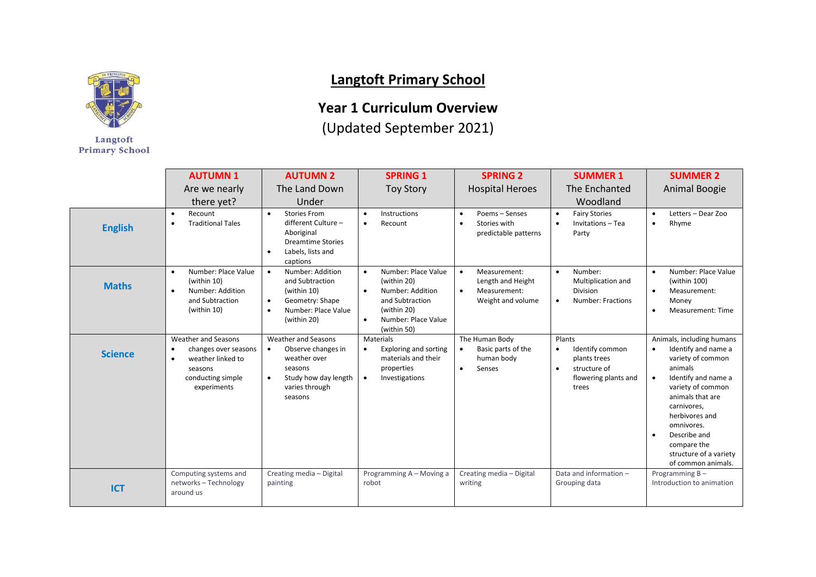

Langtoft **Primary School** 

## **Langtoft Primary School**

## **Year 1 Curriculum Overview**

(Updated September 2021)

|                | <b>AUTUMN1</b><br>Are we nearly<br>there yet?<br>Recount<br>$\bullet$                                                                     | <b>AUTUMN 2</b><br>The Land Down<br>Under<br><b>Stories From</b><br>$\bullet$                                                                              | <b>SPRING 1</b><br><b>Toy Story</b><br>Instructions<br>$\bullet$                                                                                                      | <b>SPRING 2</b><br><b>Hospital Heroes</b><br>Poems - Senses<br>$\bullet$                         | <b>SUMMER 1</b><br>The Enchanted<br>Woodland<br><b>Fairy Stories</b><br>$\bullet$                                    | <b>SUMMER 2</b><br>Animal Boogie<br>Letters - Dear Zoo<br>$\bullet$                                                                                                                                                                                                            |
|----------------|-------------------------------------------------------------------------------------------------------------------------------------------|------------------------------------------------------------------------------------------------------------------------------------------------------------|-----------------------------------------------------------------------------------------------------------------------------------------------------------------------|--------------------------------------------------------------------------------------------------|----------------------------------------------------------------------------------------------------------------------|--------------------------------------------------------------------------------------------------------------------------------------------------------------------------------------------------------------------------------------------------------------------------------|
| <b>English</b> | <b>Traditional Tales</b><br>$\bullet$                                                                                                     | different Culture -<br>Aboriginal<br><b>Dreamtime Stories</b><br>Labels, lists and<br>captions                                                             | Recount<br>$\bullet$                                                                                                                                                  | Stories with<br>$\bullet$<br>predictable patterns                                                | Invitations - Tea<br>$\bullet$<br>Party                                                                              | Rhyme<br>$\bullet$                                                                                                                                                                                                                                                             |
| <b>Maths</b>   | Number: Place Value<br>$\bullet$<br>(within 10)<br>Number: Addition<br>$\bullet$<br>and Subtraction<br>(within 10)                        | Number: Addition<br>$\bullet$<br>and Subtraction<br>(within 10)<br>Geometry: Shape<br>$\bullet$<br>Number: Place Value<br>(within 20)                      | Number: Place Value<br>$\bullet$<br>(within 20)<br>Number: Addition<br>$\bullet$<br>and Subtraction<br>(within 20)<br>Number: Place Value<br>$\bullet$<br>(within 50) | Measurement:<br>$\bullet$<br>Length and Height<br>Measurement:<br>$\bullet$<br>Weight and volume | Number:<br>$\bullet$<br>Multiplication and<br><b>Division</b><br>Number: Fractions<br>$\bullet$                      | Number: Place Value<br>$\bullet$<br>(within 100)<br>Measurement:<br>$\bullet$<br>Money<br>Measurement: Time                                                                                                                                                                    |
| <b>Science</b> | Weather and Seasons<br>changes over seasons<br>$\bullet$<br>weather linked to<br>$\bullet$<br>seasons<br>conducting simple<br>experiments | <b>Weather and Seasons</b><br>Observe changes in<br>$\bullet$<br>weather over<br>seasons<br>Study how day length<br>$\bullet$<br>varies through<br>seasons | Materials<br><b>Exploring and sorting</b><br>$\bullet$<br>materials and their<br>properties<br>Investigations<br>$\bullet$                                            | The Human Body<br>Basic parts of the<br>human body<br>Senses<br>$\bullet$                        | Plants<br>Identify common<br>$\bullet$<br>plants trees<br>structure of<br>$\bullet$<br>flowering plants and<br>trees | Animals, including humans<br>Identify and name a<br>variety of common<br>animals<br>Identify and name a<br>variety of common<br>animals that are<br>carnivores,<br>herbivores and<br>omnivores.<br>Describe and<br>compare the<br>structure of a variety<br>of common animals. |
| <b>ICT</b>     | Computing systems and<br>networks - Technology<br>around us                                                                               | Creating media - Digital<br>painting                                                                                                                       | Programming A - Moving a<br>robot                                                                                                                                     | Creating media - Digital<br>writing                                                              | Data and information -<br>Grouping data                                                                              | Programming B-<br>Introduction to animation                                                                                                                                                                                                                                    |